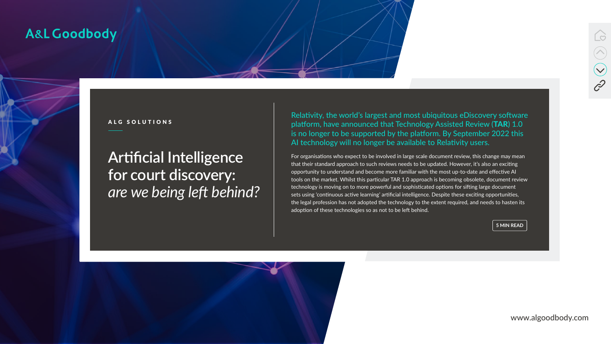www.algoodbody.com



# **Artificial Intelligence for court discovery:**  *are we being left behind?*



# A&L Goodbody



ALG SOLUTIONS

Relativity, the world's largest and most ubiquitous eDiscovery software platform, have announced that Technology Assisted Review (TAR) 1.0 is no longer to be supported by the platform. By September 2022 this AI technology will no longer be available to Relativity users.

For organisations who expect to be involved in large scale document review, this change may mean that their standard approach to such reviews needs to be updated. However, it's also an exciting opportunity to understand and become more familiar with the most up-to-date and effective AI tools on the market. Whilst this particular TAR 1.0 approach is becoming obsolete, document review technology is moving on to more powerful and sophisticated options for sifting large document sets using 'continuous active learning' artificial intelligence. Despite these exciting opportunities, the legal profession has not adopted the technology to the extent required, and needs to hasten its adoption of these technologies so as not to be left behind.

**5 MIN READ**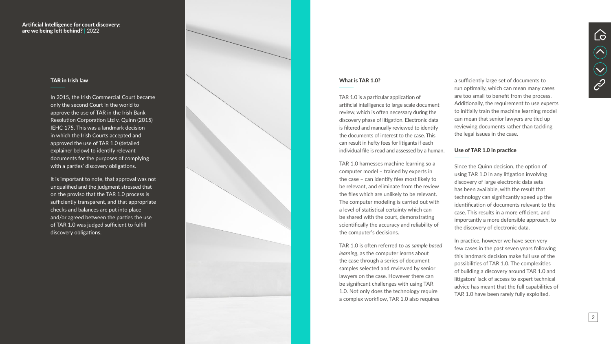#### What is TAR 1.0?

TAR 1.0 is a particular application of artificial intelligence to large scale document review, which is often necessary during the discovery phase of litigation. Electronic data is filtered and manually reviewed to identify the documents of interest to the case. This can result in hefty fees for litigants if each individual file is read and assessed by a human.

TAR 1.0 harnesses machine learning so a computer model – trained by experts in the case – can identify files most likely to be relevant, and eliminate from the review the files which are unlikely to be relevant. The computer modeling is carried out with a level of statistical certainty which can be shared with the court, demonstrating scientifically the accuracy and reliability of the computer's decisions.

TAR 1.0 is often referred to as s*ample based learning*, as the computer learns about the case through a series of document samples selected and reviewed by senior lawyers on the case. However there can be significant challenges with using TAR 1.0. Not only does the technology require a complex workflow, TAR 1.0 also requires

a sufficiently large set of documents to run optimally, which can mean many cases are too small to benefit from the process. Additionally, the requirement to use experts to initially train the machine learning model can mean that senior lawyers are tied up reviewing documents rather than tackling the legal issues in the case.

#### Use of TAR 1.0 in practice

Since the Quinn decision, the option of using TAR 1.0 in any litigation involving discovery of large electronic data sets has been available, with the result that technology can significantly speed up the identification of documents relevant to the case. This results in a more efficient, and importantly a more defensible approach, to the discovery of electronic data.

In practice, however we have seen very few cases in the past seven years following this landmark decision make full use of the possibilities of TAR 1.0. The complexities of building a discovery around TAR 1.0 and litigators' lack of access to expert technical advice has meant that the full capabilities of TAR 1.0 have been rarely fully exploited.





### Artificial Intelligence for court discovery: are we being left behind? behind? **|** 2022

## TAR in Irish law

In 2015, the Irish Commercial Court became only the second Court in the world to approve the use of TAR in the Irish Bank Resolution Corporation Ltd v. Quinn (2015) IEHC 175. This was a landmark decision in which the Irish Courts accepted and approved the use of TAR 1.0 (detailed explainer below) to identify relevant documents for the purposes of complying with a parties' discovery obligations.

It is important to note, that approval was not unqualified and the judgment stressed that on the proviso that the TAR 1.0 process is sufficiently transparent, and that appropriate checks and balances are put into place and/or agreed between the parties the use of TAR 1.0 was judged sufficient to fulfill discovery obligations. S

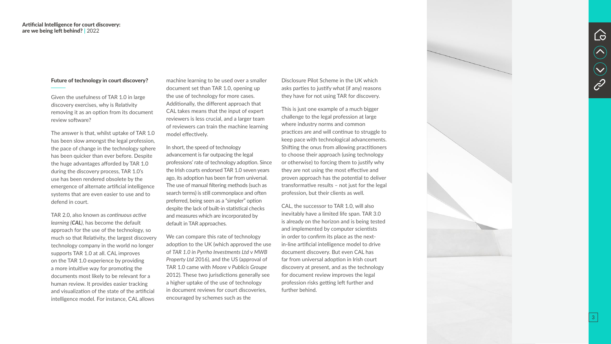#### Future of technology in court discovery?

Given the usefulness of TAR 1.0 in large discovery exercises, why is Relativity removing it as an option from its document review software?

The answer is that, whilst uptake of TAR 1.0 has been slow amongst the legal profession, the pace of change in the technology sphere has been quicker than ever before. Despite the huge advantages afforded by TAR 1.0 during the discovery process, TAR 1.0's use has been rendered obsolete by the emergence of alternate artificial intelligence systems that are even easier to use and to defend in court.

TAR 2.0, also known as *continuous active learning (CAL )*, has become the default approach for the use of the technology, so much so that Relativity, the largest discovery technology company in the world no longer supports TAR 1.0 at all. CAL improves on the TAR 1.0 experience by providing a more intuitive way for promoting the documents most likely to be relevant for a human review. It provides easier tracking and visualization of the state of the artificial intelligence model. For instance, CAL allows

machine learning to be used over a smaller document set than TAR 1.0, opening up the use of technology for more cases. Additionally, the different approach that CAL takes means that the input of expert reviewers is less crucial, and a larger team of reviewers can train the machine learning model effectively.

In short, the speed of technology advancement is far outpacing the legal professions' rate of technology adoption. Since the Irish courts endorsed TAR 1.0 seven years ago, its adoption has been far from universal. The use of manual filtering methods (such as search terms) is still commonplace and often preferred, being seen as a "simpler" option despite the lack of built-in statistical checks and measures which are incorporated by default in TAR approaches.

We can compare this rate of technology adoption to the UK (which approved the use of *TAR 1.0 in Pyrrho Investments Ltd*  v *MWB Property Ltd* 2016), and the US (approval of TAR 1.0 came with *Moore*  v *Publicis Groupe* 2012). These two jurisdictions generally see a higher uptake of the use of technology in document reviews for court discoveries, encouraged by schemes such as the

Disclosure Pilot Scheme in the UK which asks parties to justify what (if any) reasons they have for not using TAR for discovery.

This is just one example of a much bigger challenge to the legal profession at large where industry norms and common practices are and will continue to struggle to keep pace with technological advancements. Shifting the onus from allowing practitioners to choose their approach (using technology or otherwise) to forcing them to justify why they are not using the most effective and proven approach has the potential to deliver transformative results – not just for the legal profession, but their clients as well.

CAL, the successor to TAR 1.0, will also inevitably have a limited life span. TAR 3.0 is already on the horizon and is being tested and implemented by computer scientists in order to confirm its place as the nextin-line artificial intelligence model to drive document discovery. But even CAL has far from universal adoption in Irish court discovery at present, and as the technology for document review improves the legal profession risks getting left further and further behind.





3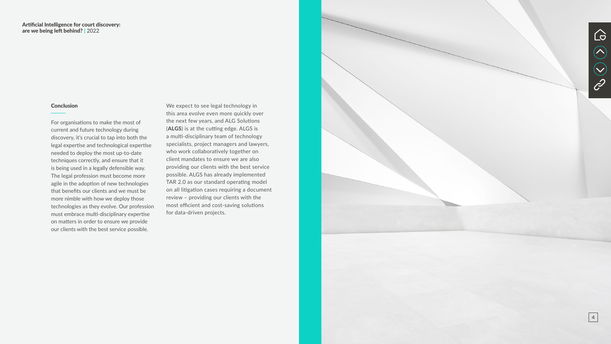

### **Conclusion**

For organisations to make the most of current and future technology during discovery, it's crucial to tap into both the legal expertise and technological expertise needed to deploy the most up-to-date techniques correctly, and ensure that it is being used in a legally defensible way. The legal profession must become more agile in the adoption of new technologies that benefits our clients and we must be more nimble with how we deploy those technologies as they evolve. Our profession must embrace multi-disciplinary expertise on matters in order to ensure we provide our clients with the best service possible.

We expect to see legal technology in this area evolve even more quickly over the next few years, and ALG Solutions<br>(ALGS) is at the cutting edge. ALGS is a multi-disciplinary team of technology specialists, project managers and lawyers, who work collaboratively together on client mandates to ensure we are also providing our clients with the best service possible. ALGS has already implemented TAR 2.0 as our standard operating model on all litigation cases requiring a document review – providing our clients with the most efficient and cost-saving solutions for data-driven projects.